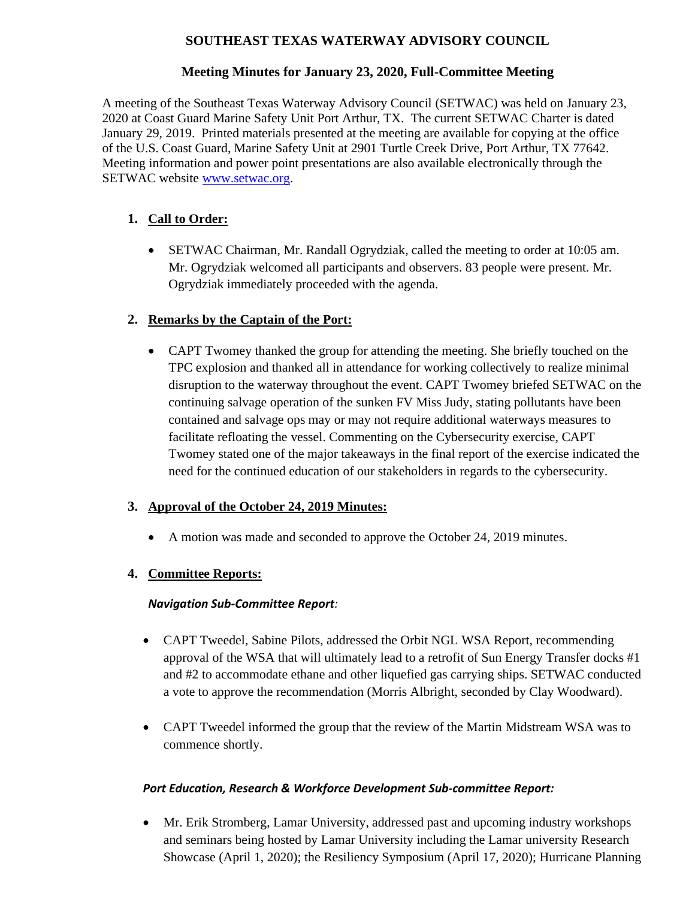## **SOUTHEAST TEXAS WATERWAY ADVISORY COUNCIL**

### **Meeting Minutes for January 23, 2020, Full-Committee Meeting**

A meeting of the Southeast Texas Waterway Advisory Council (SETWAC) was held on January 23, 2020 at Coast Guard Marine Safety Unit Port Arthur, TX. The current SETWAC Charter is dated January 29, 2019. Printed materials presented at the meeting are available for copying at the office of the U.S. Coast Guard, Marine Safety Unit at 2901 Turtle Creek Drive, Port Arthur, TX 77642. Meeting information and power point presentations are also available electronically through the SETWAC website [www.setwac.org.](http://www.setwac.org/)

# **1. Call to Order:**

• SETWAC Chairman, Mr. Randall Ogrydziak, called the meeting to order at 10:05 am. Mr. Ogrydziak welcomed all participants and observers. 83 people were present. Mr. Ogrydziak immediately proceeded with the agenda.

### **2. Remarks by the Captain of the Port:**

• CAPT Twomey thanked the group for attending the meeting. She briefly touched on the TPC explosion and thanked all in attendance for working collectively to realize minimal disruption to the waterway throughout the event. CAPT Twomey briefed SETWAC on the continuing salvage operation of the sunken FV Miss Judy, stating pollutants have been contained and salvage ops may or may not require additional waterways measures to facilitate refloating the vessel. Commenting on the Cybersecurity exercise, CAPT Twomey stated one of the major takeaways in the final report of the exercise indicated the need for the continued education of our stakeholders in regards to the cybersecurity.

### **3. Approval of the October 24, 2019 Minutes:**

• A motion was made and seconded to approve the October 24, 2019 minutes.

### **4. Committee Reports:**

### *Navigation Sub-Committee Report:*

- CAPT Tweedel, Sabine Pilots, addressed the Orbit NGL WSA Report, recommending approval of the WSA that will ultimately lead to a retrofit of Sun Energy Transfer docks #1 and #2 to accommodate ethane and other liquefied gas carrying ships. SETWAC conducted a vote to approve the recommendation (Morris Albright, seconded by Clay Woodward).
- CAPT Tweedel informed the group that the review of the Martin Midstream WSA was to commence shortly.

### *Port Education, Research & Workforce Development Sub-committee Report:*

• Mr. Erik Stromberg, Lamar University, addressed past and upcoming industry workshops and seminars being hosted by Lamar University including the Lamar university Research Showcase (April 1, 2020); the Resiliency Symposium (April 17, 2020); Hurricane Planning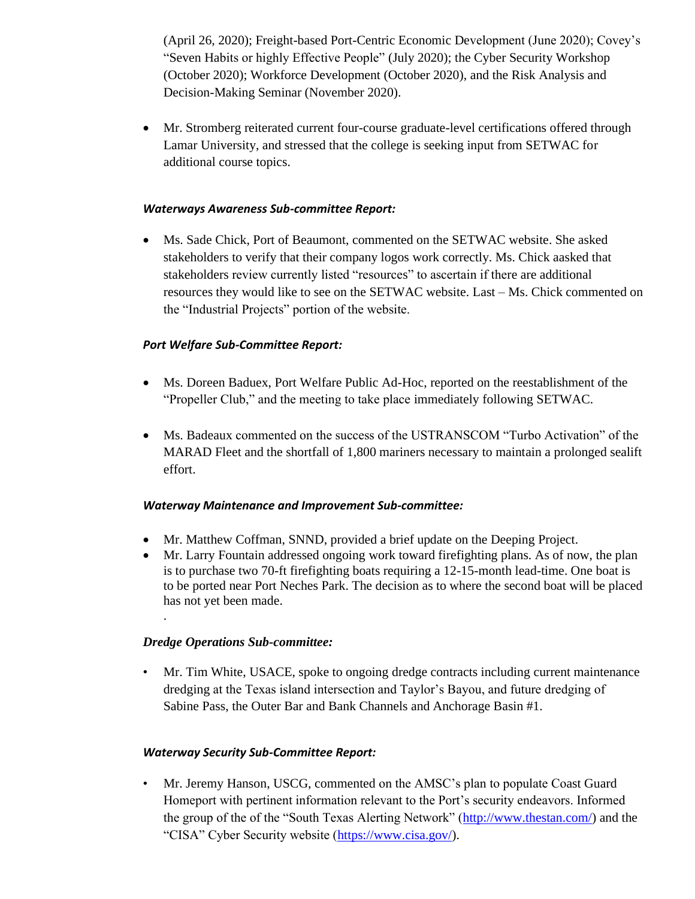(April 26, 2020); Freight-based Port-Centric Economic Development (June 2020); Covey's "Seven Habits or highly Effective People" (July 2020); the Cyber Security Workshop (October 2020); Workforce Development (October 2020), and the Risk Analysis and Decision-Making Seminar (November 2020).

• Mr. Stromberg reiterated current four-course graduate-level certifications offered through Lamar University, and stressed that the college is seeking input from SETWAC for additional course topics.

#### *Waterways Awareness Sub-committee Report:*

• Ms. Sade Chick, Port of Beaumont, commented on the SETWAC website. She asked stakeholders to verify that their company logos work correctly. Ms. Chick aasked that stakeholders review currently listed "resources" to ascertain if there are additional resources they would like to see on the SETWAC website. Last – Ms. Chick commented on the "Industrial Projects" portion of the website.

### *Port Welfare Sub-Committee Report:*

- Ms. Doreen Baduex, Port Welfare Public Ad-Hoc, reported on the reestablishment of the "Propeller Club," and the meeting to take place immediately following SETWAC.
- Ms. Badeaux commented on the success of the USTRANSCOM "Turbo Activation" of the MARAD Fleet and the shortfall of 1,800 mariners necessary to maintain a prolonged sealift effort.

#### *Waterway Maintenance and Improvement Sub-committee:*

- Mr. Matthew Coffman, SNND, provided a brief update on the Deeping Project.
- Mr. Larry Fountain addressed ongoing work toward firefighting plans. As of now, the plan is to purchase two 70-ft firefighting boats requiring a 12-15-month lead-time. One boat is to be ported near Port Neches Park. The decision as to where the second boat will be placed has not yet been made.

### *Dredge Operations Sub-committee:*

.

• Mr. Tim White, USACE, spoke to ongoing dredge contracts including current maintenance dredging at the Texas island intersection and Taylor's Bayou, and future dredging of Sabine Pass, the Outer Bar and Bank Channels and Anchorage Basin #1.

### *Waterway Security Sub-Committee Report:*

• Mr. Jeremy Hanson, USCG, commented on the AMSC's plan to populate Coast Guard Homeport with pertinent information relevant to the Port's security endeavors. Informed the group of the of the "South Texas Alerting Network" [\(http://www.thestan.com/\)](http://www.thestan.com/) and the "CISA" Cyber Security website [\(https://www.cisa.gov/\)](https://www.cisa.gov/).